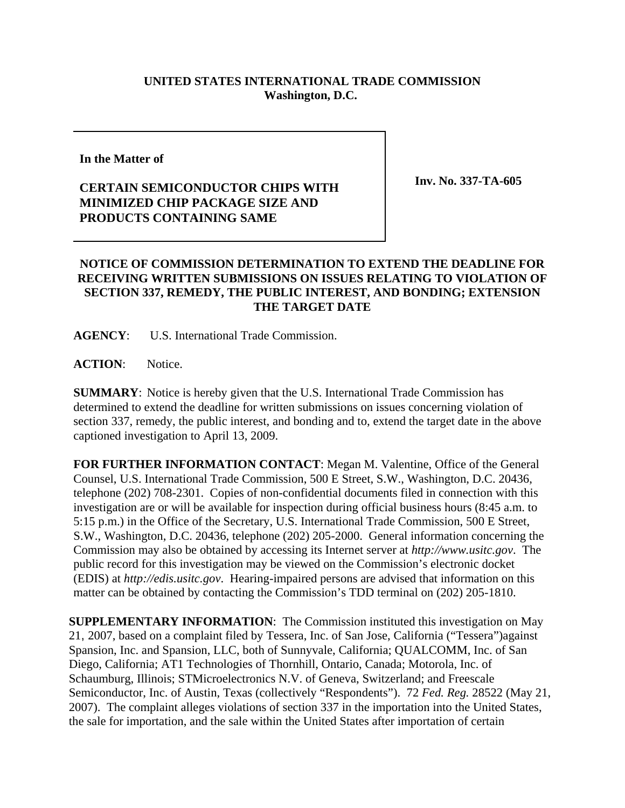## **UNITED STATES INTERNATIONAL TRADE COMMISSION Washington, D.C.**

## **In the Matter of**

## **CERTAIN SEMICONDUCTOR CHIPS WITH MINIMIZED CHIP PACKAGE SIZE AND PRODUCTS CONTAINING SAME**

**Inv. No. 337-TA-605**

## **NOTICE OF COMMISSION DETERMINATION TO EXTEND THE DEADLINE FOR RECEIVING WRITTEN SUBMISSIONS ON ISSUES RELATING TO VIOLATION OF SECTION 337, REMEDY, THE PUBLIC INTEREST, AND BONDING; EXTENSION THE TARGET DATE**

**AGENCY**: U.S. International Trade Commission.

**ACTION**: Notice.

**SUMMARY**: Notice is hereby given that the U.S. International Trade Commission has determined to extend the deadline for written submissions on issues concerning violation of section 337, remedy, the public interest, and bonding and to, extend the target date in the above captioned investigation to April 13, 2009.

**FOR FURTHER INFORMATION CONTACT**: Megan M. Valentine, Office of the General Counsel, U.S. International Trade Commission, 500 E Street, S.W., Washington, D.C. 20436, telephone (202) 708-2301. Copies of non-confidential documents filed in connection with this investigation are or will be available for inspection during official business hours (8:45 a.m. to 5:15 p.m.) in the Office of the Secretary, U.S. International Trade Commission, 500 E Street, S.W., Washington, D.C. 20436, telephone (202) 205-2000. General information concerning the Commission may also be obtained by accessing its Internet server at *http://www.usitc.gov*. The public record for this investigation may be viewed on the Commission's electronic docket (EDIS) at *http://edis.usitc.gov*. Hearing-impaired persons are advised that information on this matter can be obtained by contacting the Commission's TDD terminal on (202) 205-1810.

**SUPPLEMENTARY INFORMATION**: The Commission instituted this investigation on May 21, 2007, based on a complaint filed by Tessera, Inc. of San Jose, California ("Tessera")against Spansion, Inc. and Spansion, LLC, both of Sunnyvale, California; QUALCOMM, Inc. of San Diego, California; AT1 Technologies of Thornhill, Ontario, Canada; Motorola, Inc. of Schaumburg, Illinois; STMicroelectronics N.V. of Geneva, Switzerland; and Freescale Semiconductor, Inc. of Austin, Texas (collectively "Respondents"). 72 *Fed. Reg.* 28522 (May 21, 2007). The complaint alleges violations of section 337 in the importation into the United States, the sale for importation, and the sale within the United States after importation of certain